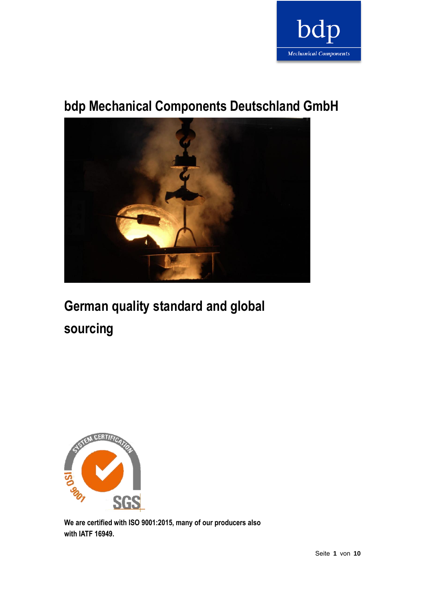

# **bdp Mechanical Components Deutschland GmbH**



# **German quality standard and global sourcing**



**We are certified with ISO 9001:2015, many of our producers also with IATF 16949.**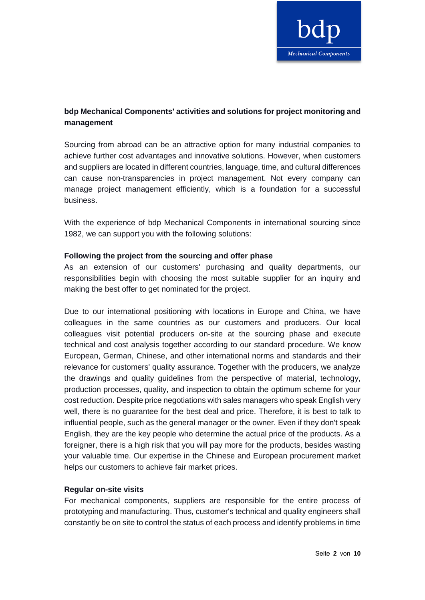

# **bdp Mechanical Components' activities and solutions for project monitoring and management**

Sourcing from abroad can be an attractive option for many industrial companies to achieve further cost advantages and innovative solutions. However, when customers and suppliers are located in different countries, language, time, and cultural differences can cause non-transparencies in project management. Not every company can manage project management efficiently, which is a foundation for a successful business.

With the experience of bdp Mechanical Components in international sourcing since 1982, we can support you with the following solutions:

# **Following the project from the sourcing and offer phase**

As an extension of our customers' purchasing and quality departments, our responsibilities begin with choosing the most suitable supplier for an inquiry and making the best offer to get nominated for the project.

Due to our international positioning with locations in Europe and China, we have colleagues in the same countries as our customers and producers. Our local colleagues visit potential producers on-site at the sourcing phase and execute technical and cost analysis together according to our standard procedure. We know European, German, Chinese, and other international norms and standards and their relevance for customers' quality assurance. Together with the producers, we analyze the drawings and quality guidelines from the perspective of material, technology, production processes, quality, and inspection to obtain the optimum scheme for your cost reduction. Despite price negotiations with sales managers who speak English very well, there is no guarantee for the best deal and price. Therefore, it is best to talk to influential people, such as the general manager or the owner. Even if they don't speak English, they are the key people who determine the actual price of the products. As a foreigner, there is a high risk that you will pay more for the products, besides wasting your valuable time. Our expertise in the Chinese and European procurement market helps our customers to achieve fair market prices.

### **Regular on-site visits**

For mechanical components, suppliers are responsible for the entire process of prototyping and manufacturing. Thus, customer's technical and quality engineers shall constantly be on site to control the status of each process and identify problems in time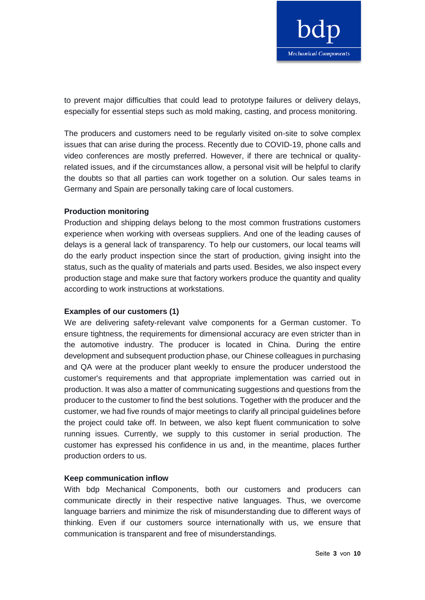

to prevent major difficulties that could lead to prototype failures or delivery delays, especially for essential steps such as mold making, casting, and process monitoring.

The producers and customers need to be regularly visited on-site to solve complex issues that can arise during the process. Recently due to COVID-19, phone calls and video conferences are mostly preferred. However, if there are technical or qualityrelated issues, and if the circumstances allow, a personal visit will be helpful to clarify the doubts so that all parties can work together on a solution. Our sales teams in Germany and Spain are personally taking care of local customers.

### **Production monitoring**

Production and shipping delays belong to the most common frustrations customers experience when working with overseas suppliers. And one of the leading causes of delays is a general lack of transparency. To help our customers, our local teams will do the early product inspection since the start of production, giving insight into the status, such as the quality of materials and parts used. Besides, we also inspect every production stage and make sure that factory workers produce the quantity and quality according to work instructions at workstations.

#### **Examples of our customers (1)**

We are delivering safety-relevant valve components for a German customer. To ensure tightness, the requirements for dimensional accuracy are even stricter than in the automotive industry. The producer is located in China. During the entire development and subsequent production phase, our Chinese colleagues in purchasing and QA were at the producer plant weekly to ensure the producer understood the customer's requirements and that appropriate implementation was carried out in production. It was also a matter of communicating suggestions and questions from the producer to the customer to find the best solutions. Together with the producer and the customer, we had five rounds of major meetings to clarify all principal guidelines before the project could take off. In between, we also kept fluent communication to solve running issues. Currently, we supply to this customer in serial production. The customer has expressed his confidence in us and, in the meantime, places further production orders to us.

#### **Keep communication inflow**

With bdp Mechanical Components, both our customers and producers can communicate directly in their respective native languages. Thus, we overcome language barriers and minimize the risk of misunderstanding due to different ways of thinking. Even if our customers source internationally with us, we ensure that communication is transparent and free of misunderstandings.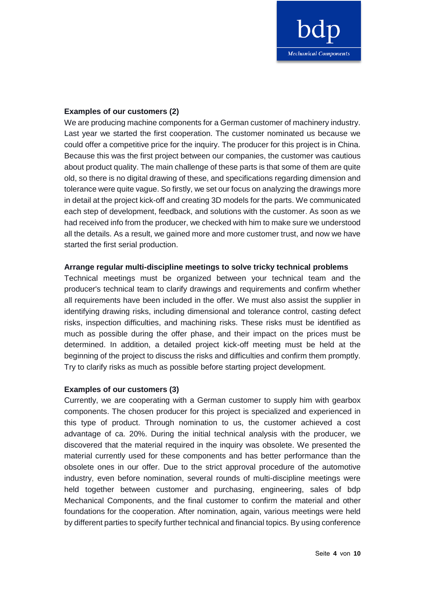

### **Examples of our customers (2)**

We are producing machine components for a German customer of machinery industry. Last year we started the first cooperation. The customer nominated us because we could offer a competitive price for the inquiry. The producer for this project is in China. Because this was the first project between our companies, the customer was cautious about product quality. The main challenge of these parts is that some of them are quite old, so there is no digital drawing of these, and specifications regarding dimension and tolerance were quite vague. So firstly, we set our focus on analyzing the drawings more in detail at the project kick-off and creating 3D models for the parts. We communicated each step of development, feedback, and solutions with the customer. As soon as we had received info from the producer, we checked with him to make sure we understood all the details. As a result, we gained more and more customer trust, and now we have started the first serial production.

### **Arrange regular multi-discipline meetings to solve tricky technical problems**

Technical meetings must be organized between your technical team and the producer's technical team to clarify drawings and requirements and confirm whether all requirements have been included in the offer. We must also assist the supplier in identifying drawing risks, including dimensional and tolerance control, casting defect risks, inspection difficulties, and machining risks. These risks must be identified as much as possible during the offer phase, and their impact on the prices must be determined. In addition, a detailed project kick-off meeting must be held at the beginning of the project to discuss the risks and difficulties and confirm them promptly. Try to clarify risks as much as possible before starting project development.

### **Examples of our customers (3)**

Currently, we are cooperating with a German customer to supply him with gearbox components. The chosen producer for this project is specialized and experienced in this type of product. Through nomination to us, the customer achieved a cost advantage of ca. 20%. During the initial technical analysis with the producer, we discovered that the material required in the inquiry was obsolete. We presented the material currently used for these components and has better performance than the obsolete ones in our offer. Due to the strict approval procedure of the automotive industry, even before nomination, several rounds of multi-discipline meetings were held together between customer and purchasing, engineering, sales of bdp Mechanical Components, and the final customer to confirm the material and other foundations for the cooperation. After nomination, again, various meetings were held by different parties to specify further technical and financial topics. By using conference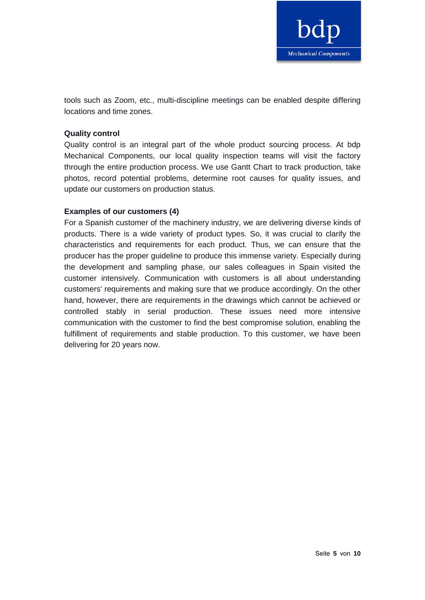

tools such as Zoom, etc., multi-discipline meetings can be enabled despite differing locations and time zones.

## **Quality control**

Quality control is an integral part of the whole product sourcing process. At bdp Mechanical Components, our local quality inspection teams will visit the factory through the entire production process. We use Gantt Chart to track production, take photos, record potential problems, determine root causes for quality issues, and update our customers on production status.

# **Examples of our customers (4)**

For a Spanish customer of the machinery industry, we are delivering diverse kinds of products. There is a wide variety of product types. So, it was crucial to clarify the characteristics and requirements for each product. Thus, we can ensure that the producer has the proper guideline to produce this immense variety. Especially during the development and sampling phase, our sales colleagues in Spain visited the customer intensively. Communication with customers is all about understanding customers' requirements and making sure that we produce accordingly. On the other hand, however, there are requirements in the drawings which cannot be achieved or controlled stably in serial production. These issues need more intensive communication with the customer to find the best compromise solution, enabling the fulfillment of requirements and stable production. To this customer, we have been delivering for 20 years now.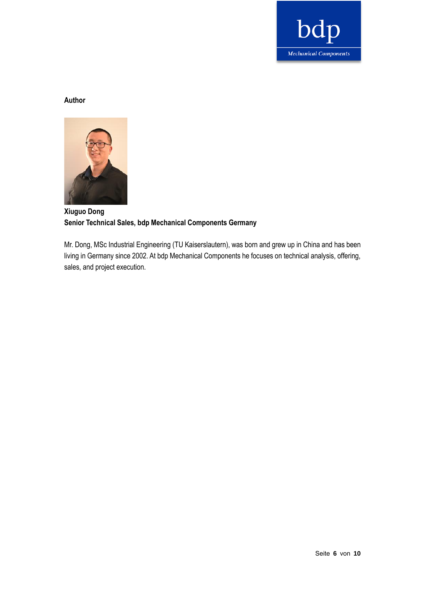

# **Author**



# **Xiuguo Dong Senior Technical Sales, bdp Mechanical Components Germany**

Mr. Dong, MSc Industrial Engineering (TU Kaiserslautern), was born and grew up in China and has been living in Germany since 2002. At bdp Mechanical Components he focuses on technical analysis, offering, sales, and project execution.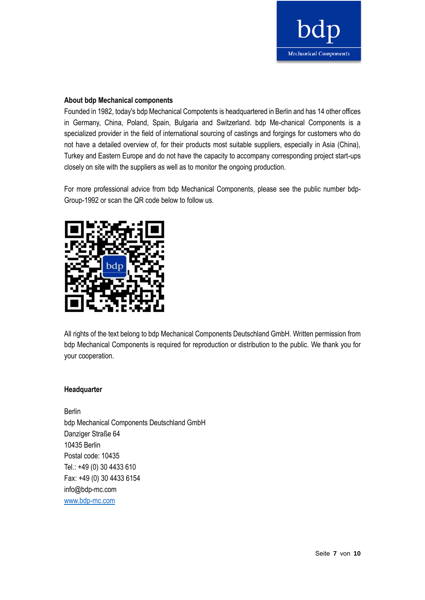

#### **About bdp Mechanical components**

Founded in 1982, today's bdp Mechanical Compotents is headquartered in Berlin and has 14 other offices in Germany, China, Poland, Spain, Bulgaria and Switzerland. bdp Me-chanical Components is a specialized provider in the field of international sourcing of castings and forgings for customers who do not have a detailed overview of, for their products most suitable suppliers, especially in Asia (China), Turkey and Eastern Europe and do not have the capacity to accompany corresponding project start-ups closely on site with the suppliers as well as to monitor the ongoing production.

For more professional advice from bdp Mechanical Components, please see the public number bdp-Group-1992 or scan the QR code below to follow us.



All rights of the text belong to bdp Mechanical Components Deutschland GmbH. Written permission from bdp Mechanical Components is required for reproduction or distribution to the public. We thank you for your cooperation.

#### **Headquarter**

Berlin bdp Mechanical Components Deutschland GmbH Danziger Straße 64 10435 Berlin Postal code: 10435 Tel.: +49 (0) 30 4433 610 Fax: +49 (0) 30 4433 6154 info@bdp-mc.com [www.bdp-mc.com](http://www.bdp-mc.com/)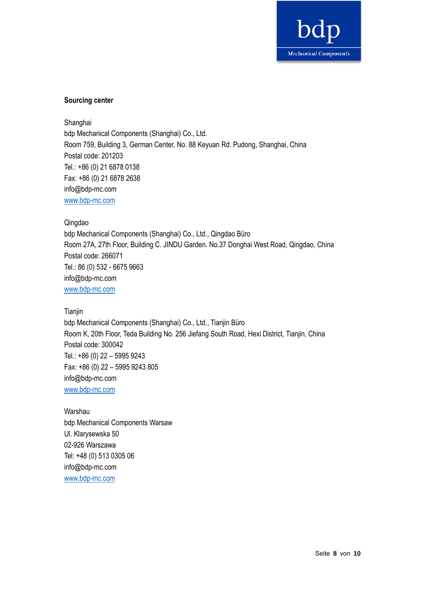

### **Sourcing center**

Shanghai bdp Mechanical Components (Shanghai) Co., Ltd. Room 759, Building 3, German Center, No. 88 Keyuan Rd. Pudong, Shanghai, China Postal code: 201203 Tel.: +86 (0) 21 6878 0138 Fax: +86 (0) 21 6878 2638 info@bdp-mc.com [www.bdp-mc.com](http://www.bdp-mc.com/)

#### Qingdao

bdp Mechanical Components (Shanghai) Co., Ltd., Qingdao Büro Room 27A, 27th Floor, Building C. JINDU Garden. No.37 Donghai West Road, Qingdao, China Postal code: 266071 Tel.: 86 (0) 532 - 6675 9663 info@bdp-mc.com [www.bdp-mc.com](http://www.bdp-mc.com/)

#### **Tianjin**

bdp Mechanical Components (Shanghai) Co., Ltd., Tianjin Büro Room K, 20th Floor, Teda Building No. 256 Jiefang South Road, Hexi District, Tianjin, China Postal code: 300042 Tel.: +86 (0) 22 – 5995 9243 Fax: +86 (0) 22 – 5995 9243 805 info@bdp-mc.com [www.bdp-mc.com](http://www.bdp-mc.com/)

Warshau bdp Mechanical Components Warsaw Ul. Klarysewska 50 02-926 Warszawa Tel: +48 (0) 513 0305 06 info@bdp-mc.com [www.bdp-mc.com](http://www.bdp-mc.com/)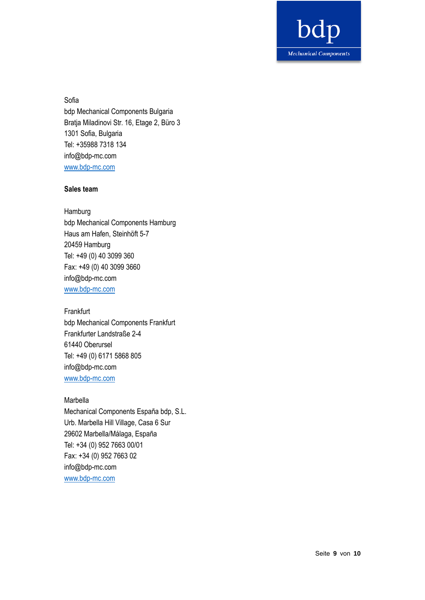

Sofia bdp Mechanical Components Bulgaria Bratja Miladinovi Str. 16, Etage 2, Büro 3 1301 Sofia, Bulgaria Tel: +35988 7318 134 info@bdp-mc.com [www.bdp-mc.com](http://www.bdp-mc.com/)

#### **Sales team**

Hamburg bdp Mechanical Components Hamburg Haus am Hafen, Steinhöft 5-7 20459 Hamburg Tel: +49 (0) 40 3099 360 Fax: +49 (0) 40 3099 3660 info@bdp-mc.com [www.bdp-mc.com](http://www.bdp-mc.com/)

**Frankfurt** bdp Mechanical Components Frankfurt Frankfurter Landstraße 2-4 61440 Oberursel Tel: +49 (0) 6171 5868 805 info@bdp-mc.com [www.bdp-mc.com](http://www.bdp-mc.com/)

Marbella Mechanical Components España bdp, S.L. Urb. Marbella Hill Village, Casa 6 Sur 29602 Marbella/Málaga, España Tel: +34 (0) 952 7663 00/01 Fax: +34 (0) 952 7663 02 info@bdp-mc.com [www.bdp-mc.com](http://www.bdp-mc.com/)